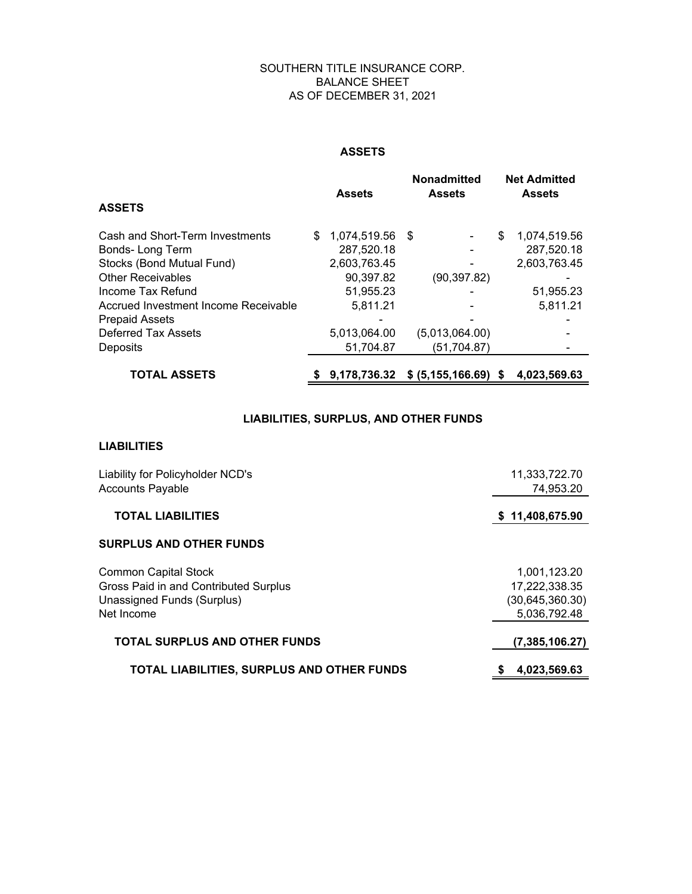#### SOUTHERN TITLE INSURANCE CORP. BALANCE SHEET AS OF DECEMBER 31, 2021

#### **ASSETS**

|                                      |     | <b>Assets</b>   | Nonadmitted<br><b>Assets</b> |   | <b>Net Admitted</b><br><b>Assets</b> |
|--------------------------------------|-----|-----------------|------------------------------|---|--------------------------------------|
| <b>ASSETS</b>                        |     |                 |                              |   |                                      |
| Cash and Short-Term Investments      | \$. | 1,074,519.56 \$ |                              | S | 1,074,519.56                         |
| Bonds-Long Term                      |     | 287,520.18      |                              |   | 287,520.18                           |
| Stocks (Bond Mutual Fund)            |     | 2,603,763.45    |                              |   | 2,603,763.45                         |
| <b>Other Receivables</b>             |     | 90,397.82       | (90, 397.82)                 |   |                                      |
| Income Tax Refund                    |     | 51,955.23       |                              |   | 51,955.23                            |
| Accrued Investment Income Receivable |     | 5,811.21        |                              |   | 5,811.21                             |
| <b>Prepaid Assets</b>                |     |                 |                              |   |                                      |
| Deferred Tax Assets                  |     | 5,013,064.00    | (5,013,064.00)               |   |                                      |
| Deposits                             |     | 51,704.87       | (51, 704.87)                 |   |                                      |
| <b>TOTAL ASSETS</b>                  |     | \$9.178.736.32  | $$ (5, 155, 166.69)$ \$      |   | 4.023.569.63                         |

#### **LIABILITIES, SURPLUS, AND OTHER FUNDS**

#### **LIABILITIES**

| Liability for Policyholder NCD's<br><b>Accounts Payable</b> | 11,333,722.70<br>74,953.20 |
|-------------------------------------------------------------|----------------------------|
| <b>TOTAL LIABILITIES</b>                                    | \$11,408,675.90            |
| <b>SURPLUS AND OTHER FUNDS</b>                              |                            |
| <b>Common Capital Stock</b>                                 | 1,001,123.20               |
| Gross Paid in and Contributed Surplus                       | 17,222,338.35              |
| Unassigned Funds (Surplus)                                  | (30, 645, 360.30)          |
| Net Income                                                  | 5,036,792.48               |
| <b>TOTAL SURPLUS AND OTHER FUNDS</b>                        | (7,385,106.27)             |
| <b>TOTAL LIABILITIES, SURPLUS AND OTHER FUNDS</b>           | 4,023,569.63               |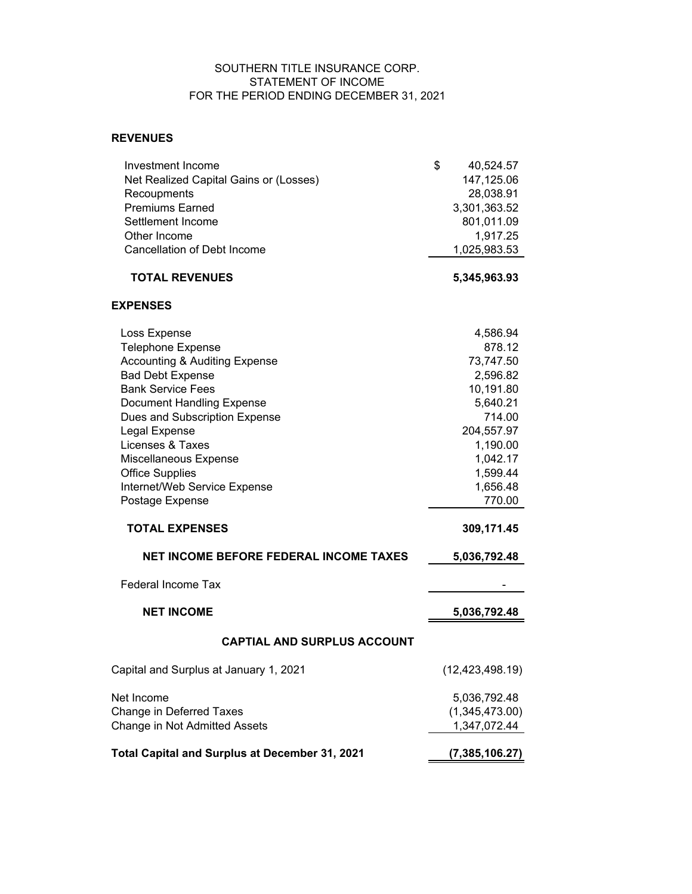#### SOUTHERN TITLE INSURANCE CORP. STATEMENT OF INCOME FOR THE PERIOD ENDING DECEMBER 31, 2021

#### **REVENUES**

| Investment Income                              | \$<br>40,524.57   |
|------------------------------------------------|-------------------|
| Net Realized Capital Gains or (Losses)         | 147,125.06        |
| Recoupments                                    | 28,038.91         |
| <b>Premiums Earned</b>                         | 3,301,363.52      |
| Settlement Income                              | 801,011.09        |
| Other Income                                   | 1,917.25          |
| <b>Cancellation of Debt Income</b>             | 1,025,983.53      |
| <b>TOTAL REVENUES</b>                          | 5,345,963.93      |
| <b>EXPENSES</b>                                |                   |
| Loss Expense                                   | 4,586.94          |
| <b>Telephone Expense</b>                       | 878.12            |
| <b>Accounting &amp; Auditing Expense</b>       | 73,747.50         |
| <b>Bad Debt Expense</b>                        | 2,596.82          |
| <b>Bank Service Fees</b>                       | 10,191.80         |
| <b>Document Handling Expense</b>               | 5,640.21          |
| Dues and Subscription Expense                  | 714.00            |
| Legal Expense                                  | 204,557.97        |
| Licenses & Taxes                               | 1,190.00          |
| Miscellaneous Expense                          | 1,042.17          |
| <b>Office Supplies</b>                         | 1,599.44          |
| Internet/Web Service Expense                   | 1,656.48          |
| Postage Expense                                | 770.00            |
| <b>TOTAL EXPENSES</b>                          | 309,171.45        |
| NET INCOME BEFORE FEDERAL INCOME TAXES         | 5,036,792.48      |
| <b>Federal Income Tax</b>                      |                   |
| <b>NET INCOME</b>                              | 5,036,792.48      |
| <b>CAPTIAL AND SURPLUS ACCOUNT</b>             |                   |
| Capital and Surplus at January 1, 2021         | (12, 423, 498.19) |
| Net Income                                     | 5,036,792.48      |
| Change in Deferred Taxes                       | (1,345,473.00)    |
| Change in Not Admitted Assets                  | 1,347,072.44      |
| Total Capital and Surplus at December 31, 2021 | (7, 385, 106.27)  |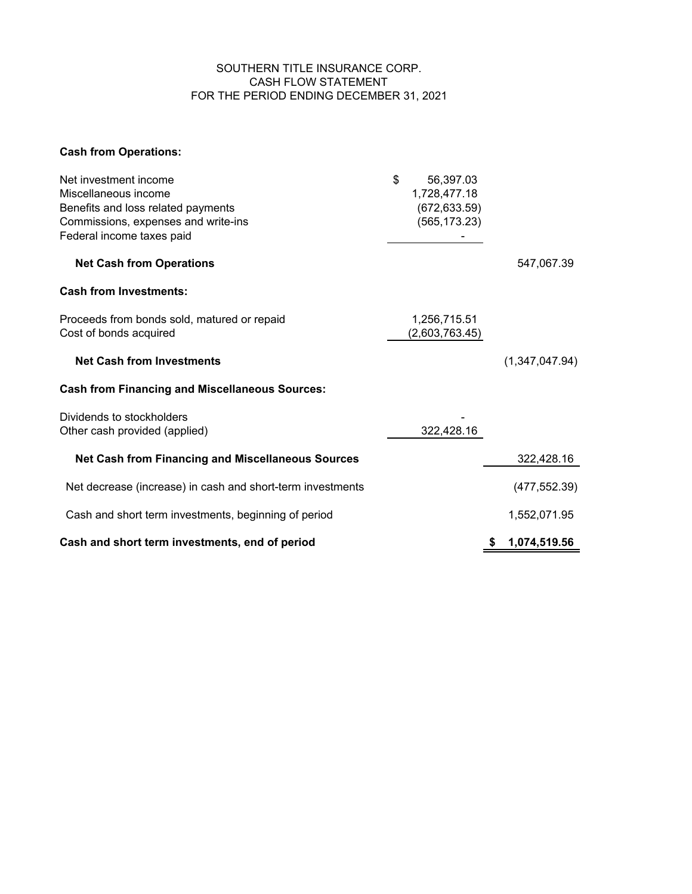#### SOUTHERN TITLE INSURANCE CORP. CASH FLOW STATEMENT FOR THE PERIOD ENDING DECEMBER 31, 2021

# **Cash from Operations:**

| Net investment income<br>Miscellaneous income<br>Benefits and loss related payments<br>Commissions, expenses and write-ins<br>Federal income taxes paid | \$<br>56,397.03<br>1,728,477.18<br>(672, 633.59)<br>(565, 173.23) |                   |
|---------------------------------------------------------------------------------------------------------------------------------------------------------|-------------------------------------------------------------------|-------------------|
| <b>Net Cash from Operations</b>                                                                                                                         |                                                                   | 547,067.39        |
| <b>Cash from Investments:</b>                                                                                                                           |                                                                   |                   |
| Proceeds from bonds sold, matured or repaid<br>Cost of bonds acquired                                                                                   | 1,256,715.51<br>(2,603,763.45)                                    |                   |
| <b>Net Cash from Investments</b>                                                                                                                        |                                                                   | (1,347,047.94)    |
| <b>Cash from Financing and Miscellaneous Sources:</b>                                                                                                   |                                                                   |                   |
| Dividends to stockholders<br>Other cash provided (applied)                                                                                              | 322,428.16                                                        |                   |
| <b>Net Cash from Financing and Miscellaneous Sources</b>                                                                                                |                                                                   | 322,428.16        |
| Net decrease (increase) in cash and short-term investments                                                                                              |                                                                   | (477, 552.39)     |
| Cash and short term investments, beginning of period                                                                                                    |                                                                   | 1,552,071.95      |
| Cash and short term investments, end of period                                                                                                          |                                                                   | 1,074,519.56<br>S |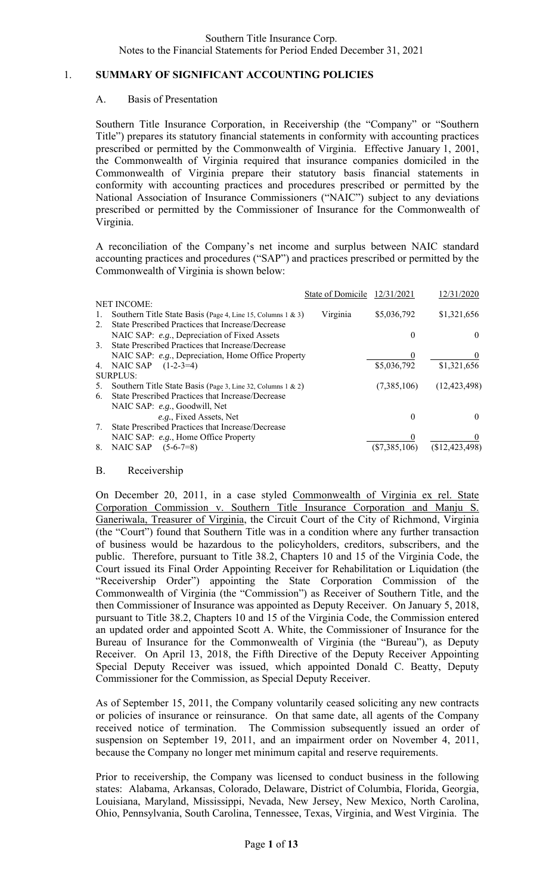## 1. **SUMMARY OF SIGNIFICANT ACCOUNTING POLICIES**

## A. Basis of Presentation

Southern Title Insurance Corporation, in Receivership (the "Company" or "Southern Title") prepares its statutory financial statements in conformity with accounting practices prescribed or permitted by the Commonwealth of Virginia. Effective January 1, 2001, the Commonwealth of Virginia required that insurance companies domiciled in the Commonwealth of Virginia prepare their statutory basis financial statements in conformity with accounting practices and procedures prescribed or permitted by the National Association of Insurance Commissioners ("NAIC") subject to any deviations prescribed or permitted by the Commissioner of Insurance for the Commonwealth of Virginia.

A reconciliation of the Company's net income and surplus between NAIC standard accounting practices and procedures ("SAP") and practices prescribed or permitted by the Commonwealth of Virginia is shown below:

|               |                                                             | State of Domicile | 12/31/2021      | 12/31/2020     |
|---------------|-------------------------------------------------------------|-------------------|-----------------|----------------|
|               | <b>NET INCOME:</b>                                          |                   |                 |                |
|               | Southern Title State Basis (Page 4, Line 15, Columns 1 & 3) | Virginia          | \$5,036,792     | \$1,321,656    |
| 2.            | State Prescribed Practices that Increase/Decrease           |                   |                 |                |
|               | NAIC SAP: e.g., Depreciation of Fixed Assets                |                   | $\theta$        | $\theta$       |
| $\mathcal{F}$ | State Prescribed Practices that Increase/Decrease           |                   |                 |                |
|               | NAIC SAP: e.g., Depreciation, Home Office Property          |                   | $\theta$        |                |
| 4.            | NAIC SAP<br>$(1-2-3=4)$                                     |                   | \$5,036,792     | \$1,321,656    |
|               | <b>SURPLUS:</b>                                             |                   |                 |                |
| 5.            | Southern Title State Basis (Page 3, Line 32, Columns 1 & 2) |                   | (7,385,106)     | (12, 423, 498) |
| 6.            | State Prescribed Practices that Increase/Decrease           |                   |                 |                |
|               | NAIC SAP: e.g., Goodwill, Net                               |                   |                 |                |
|               | e.g., Fixed Assets, Net                                     |                   | 0               | 0              |
| 7.            | State Prescribed Practices that Increase/Decrease           |                   |                 |                |
|               | NAIC SAP: e.g., Home Office Property                        |                   |                 |                |
| 8.            | NAIC SAP<br>$(5-6-7=8)$                                     |                   | $(\$7,385,106)$ | (\$12,423,498) |
|               |                                                             |                   |                 |                |

#### B. Receivership

On December 20, 2011, in a case styled Commonwealth of Virginia ex rel. State Corporation Commission v. Southern Title Insurance Corporation and Manju S. Ganeriwala, Treasurer of Virginia, the Circuit Court of the City of Richmond, Virginia (the "Court") found that Southern Title was in a condition where any further transaction of business would be hazardous to the policyholders, creditors, subscribers, and the public. Therefore, pursuant to Title 38.2, Chapters 10 and 15 of the Virginia Code, the Court issued its Final Order Appointing Receiver for Rehabilitation or Liquidation (the "Receivership Order") appointing the State Corporation Commission of the Commonwealth of Virginia (the "Commission") as Receiver of Southern Title, and the then Commissioner of Insurance was appointed as Deputy Receiver. On January 5, 2018, pursuant to Title 38.2, Chapters 10 and 15 of the Virginia Code, the Commission entered an updated order and appointed Scott A. White, the Commissioner of Insurance for the Bureau of Insurance for the Commonwealth of Virginia (the "Bureau"), as Deputy Receiver. On April 13, 2018, the Fifth Directive of the Deputy Receiver Appointing Special Deputy Receiver was issued, which appointed Donald C. Beatty, Deputy Commissioner for the Commission, as Special Deputy Receiver.

As of September 15, 2011, the Company voluntarily ceased soliciting any new contracts or policies of insurance or reinsurance. On that same date, all agents of the Company received notice of termination. The Commission subsequently issued an order of suspension on September 19, 2011, and an impairment order on November 4, 2011, because the Company no longer met minimum capital and reserve requirements.

Prior to receivership, the Company was licensed to conduct business in the following states: Alabama, Arkansas, Colorado, Delaware, District of Columbia, Florida, Georgia, Louisiana, Maryland, Mississippi, Nevada, New Jersey, New Mexico, North Carolina, Ohio, Pennsylvania, South Carolina, Tennessee, Texas, Virginia, and West Virginia. The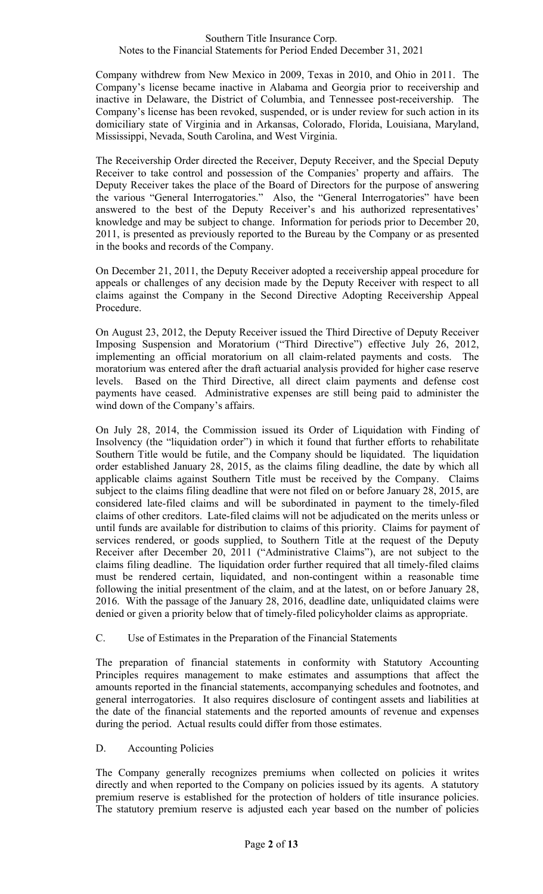Company withdrew from New Mexico in 2009, Texas in 2010, and Ohio in 2011. The Company's license became inactive in Alabama and Georgia prior to receivership and inactive in Delaware, the District of Columbia, and Tennessee post-receivership. The Company's license has been revoked, suspended, or is under review for such action in its domiciliary state of Virginia and in Arkansas, Colorado, Florida, Louisiana, Maryland, Mississippi, Nevada, South Carolina, and West Virginia.

The Receivership Order directed the Receiver, Deputy Receiver, and the Special Deputy Receiver to take control and possession of the Companies' property and affairs. The Deputy Receiver takes the place of the Board of Directors for the purpose of answering the various "General Interrogatories." Also, the "General Interrogatories" have been answered to the best of the Deputy Receiver's and his authorized representatives' knowledge and may be subject to change. Information for periods prior to December 20, 2011, is presented as previously reported to the Bureau by the Company or as presented in the books and records of the Company.

On December 21, 2011, the Deputy Receiver adopted a receivership appeal procedure for appeals or challenges of any decision made by the Deputy Receiver with respect to all claims against the Company in the Second Directive Adopting Receivership Appeal Procedure.

On August 23, 2012, the Deputy Receiver issued the Third Directive of Deputy Receiver Imposing Suspension and Moratorium ("Third Directive") effective July 26, 2012, implementing an official moratorium on all claim-related payments and costs. The moratorium was entered after the draft actuarial analysis provided for higher case reserve levels. Based on the Third Directive, all direct claim payments and defense cost payments have ceased. Administrative expenses are still being paid to administer the wind down of the Company's affairs.

On July 28, 2014, the Commission issued its Order of Liquidation with Finding of Insolvency (the "liquidation order") in which it found that further efforts to rehabilitate Southern Title would be futile, and the Company should be liquidated. The liquidation order established January 28, 2015, as the claims filing deadline, the date by which all applicable claims against Southern Title must be received by the Company. Claims subject to the claims filing deadline that were not filed on or before January 28, 2015, are considered late-filed claims and will be subordinated in payment to the timely-filed claims of other creditors. Late-filed claims will not be adjudicated on the merits unless or until funds are available for distribution to claims of this priority. Claims for payment of services rendered, or goods supplied, to Southern Title at the request of the Deputy Receiver after December 20, 2011 ("Administrative Claims"), are not subject to the claims filing deadline. The liquidation order further required that all timely-filed claims must be rendered certain, liquidated, and non-contingent within a reasonable time following the initial presentment of the claim, and at the latest, on or before January 28, 2016. With the passage of the January 28, 2016, deadline date, unliquidated claims were denied or given a priority below that of timely-filed policyholder claims as appropriate.

# C. Use of Estimates in the Preparation of the Financial Statements

 The preparation of financial statements in conformity with Statutory Accounting Principles requires management to make estimates and assumptions that affect the amounts reported in the financial statements, accompanying schedules and footnotes, and general interrogatories. It also requires disclosure of contingent assets and liabilities at the date of the financial statements and the reported amounts of revenue and expenses during the period. Actual results could differ from those estimates.

# D. Accounting Policies

The Company generally recognizes premiums when collected on policies it writes directly and when reported to the Company on policies issued by its agents. A statutory premium reserve is established for the protection of holders of title insurance policies. The statutory premium reserve is adjusted each year based on the number of policies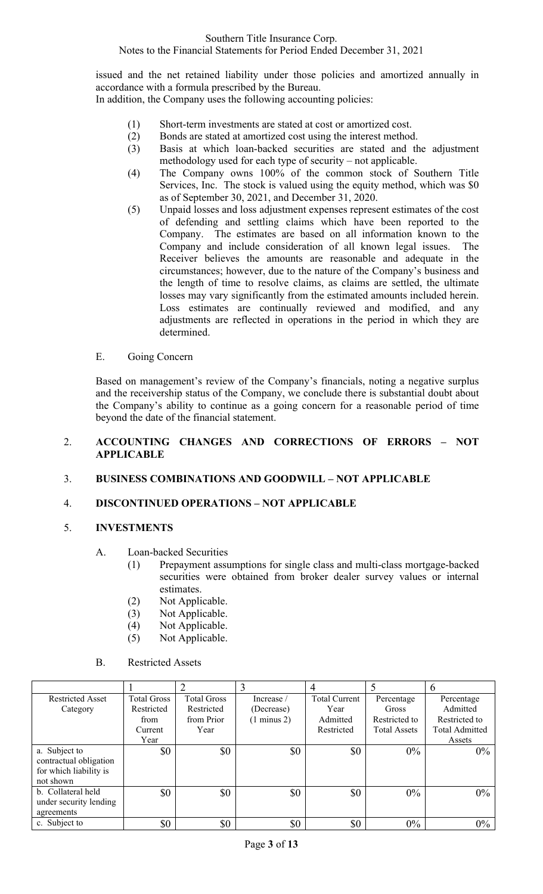issued and the net retained liability under those policies and amortized annually in accordance with a formula prescribed by the Bureau.

In addition, the Company uses the following accounting policies:

- (1) Short-term investments are stated at cost or amortized cost.
- (2) Bonds are stated at amortized cost using the interest method.
- (3) Basis at which loan-backed securities are stated and the adjustment methodology used for each type of security – not applicable.
- (4) The Company owns 100% of the common stock of Southern Title Services, Inc. The stock is valued using the equity method, which was \$0 as of September 30, 2021, and December 31, 2020.
- (5) Unpaid losses and loss adjustment expenses represent estimates of the cost of defending and settling claims which have been reported to the Company. The estimates are based on all information known to the Company and include consideration of all known legal issues. The Receiver believes the amounts are reasonable and adequate in the circumstances; however, due to the nature of the Company's business and the length of time to resolve claims, as claims are settled, the ultimate losses may vary significantly from the estimated amounts included herein. Loss estimates are continually reviewed and modified, and any adjustments are reflected in operations in the period in which they are determined.
- E. Going Concern

Based on management's review of the Company's financials, noting a negative surplus and the receivership status of the Company, we conclude there is substantial doubt about the Company's ability to continue as a going concern for a reasonable period of time beyond the date of the financial statement.

# 2. **ACCOUNTING CHANGES AND CORRECTIONS OF ERRORS – NOT APPLICABLE**

# 3. **BUSINESS COMBINATIONS AND GOODWILL – NOT APPLICABLE**

# 4. **DISCONTINUED OPERATIONS – NOT APPLICABLE**

# 5. **INVESTMENTS**

- A. Loan-backed Securities
	- (1) Prepayment assumptions for single class and multi-class mortgage-backed securities were obtained from broker dealer survey values or internal estimates.
	- (2) Not Applicable.
	- (3) Not Applicable.
	- (4) Not Applicable.
	- (5) Not Applicable.
- B. Restricted Assets

|                         |                    |                    | Ć                      |                      |                     | $\mathfrak b$         |
|-------------------------|--------------------|--------------------|------------------------|----------------------|---------------------|-----------------------|
| <b>Restricted Asset</b> | <b>Total Gross</b> | <b>Total Gross</b> | Increase /             | <b>Total Current</b> | Percentage          | Percentage            |
| Category                | Restricted         | Restricted         | (Decrease)             | Year                 | Gross               | Admitted              |
|                         | from               | from Prior         | $(1 \text{ minus } 2)$ | Admitted             | Restricted to       | Restricted to         |
|                         | Current            | Year               |                        | Restricted           | <b>Total Assets</b> | <b>Total Admitted</b> |
|                         | Year               |                    |                        |                      |                     | Assets                |
| a. Subject to           | \$0                | \$0                | \$0                    | \$0                  | $0\%$               | $0\%$                 |
| contractual obligation  |                    |                    |                        |                      |                     |                       |
| for which liability is  |                    |                    |                        |                      |                     |                       |
| not shown               |                    |                    |                        |                      |                     |                       |
| b. Collateral held      | \$0                | \$0                | \$0                    | \$0                  | $0\%$               | $0\%$                 |
| under security lending  |                    |                    |                        |                      |                     |                       |
| agreements              |                    |                    |                        |                      |                     |                       |
| c. Subject to           | \$0                | \$0                | \$0                    | \$0                  | $0\%$               | $0\%$                 |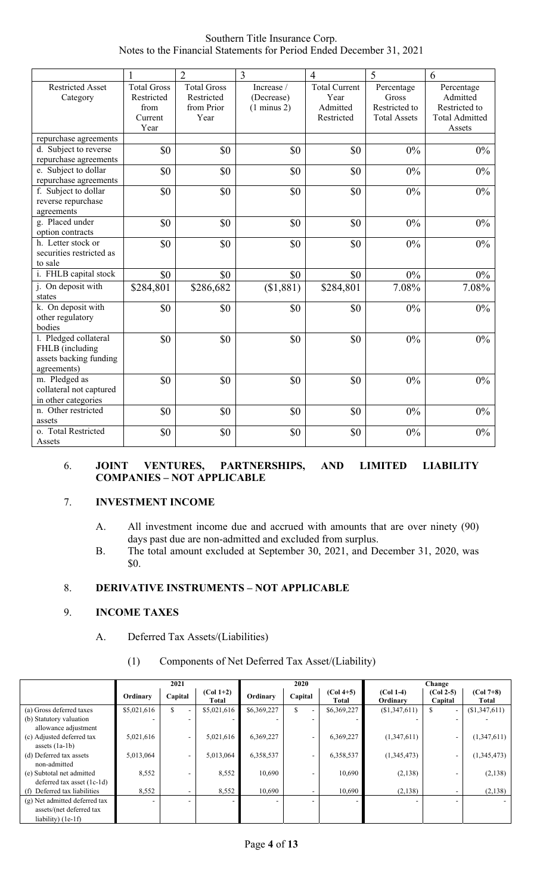Southern Title Insurance Corp. Notes to the Financial Statements for Period Ended December 31, 2021

|                                                                                   | 1                                        | $\overline{2}$                                 | $\overline{3}$                                     | $\overline{4}$                           | 5                                    | 6                                       |
|-----------------------------------------------------------------------------------|------------------------------------------|------------------------------------------------|----------------------------------------------------|------------------------------------------|--------------------------------------|-----------------------------------------|
| <b>Restricted Asset</b><br>Category                                               | <b>Total Gross</b><br>Restricted<br>from | <b>Total Gross</b><br>Restricted<br>from Prior | Increase /<br>(Decrease)<br>$(1 \text{ minus } 2)$ | <b>Total Current</b><br>Year<br>Admitted | Percentage<br>Gross<br>Restricted to | Percentage<br>Admitted<br>Restricted to |
|                                                                                   | Current<br>Year                          | Year                                           |                                                    | Restricted                               | <b>Total Assets</b>                  | <b>Total Admitted</b><br>Assets         |
| repurchase agreements                                                             |                                          |                                                |                                                    |                                          |                                      |                                         |
| d. Subject to reverse<br>repurchase agreements                                    | \$0                                      | \$0                                            | \$0                                                | \$0                                      | 0%                                   | 0%                                      |
| e. Subject to dollar<br>repurchase agreements                                     | \$0                                      | \$0                                            | \$0                                                | \$0                                      | 0%                                   | 0%                                      |
| f. Subject to dollar<br>reverse repurchase<br>agreements                          | \$0                                      | \$0                                            | \$0                                                | \$0                                      | 0%                                   | $0\%$                                   |
| g. Placed under<br>option contracts                                               | \$0                                      | \$0                                            | \$0                                                | \$0                                      | 0%                                   | 0%                                      |
| h. Letter stock or<br>securities restricted as<br>to sale                         | \$0                                      | \$0                                            | \$0                                                | \$0                                      | 0%                                   | 0%                                      |
| i. FHLB capital stock                                                             | \$0                                      | \$0                                            | \$0                                                | \$0                                      | 0%                                   | 0%                                      |
| j. On deposit with<br>states                                                      | \$284,801                                | \$286,682                                      | (\$1,881)                                          | \$284,801                                | 7.08%                                | 7.08%                                   |
| k. On deposit with<br>other regulatory<br>bodies                                  | \$0                                      | \$0                                            | \$0                                                | \$0                                      | 0%                                   | $0\%$                                   |
| 1. Pledged collateral<br>FHLB (including<br>assets backing funding<br>agreements) | \$0                                      | \$0                                            | \$0                                                | \$0                                      | 0%                                   | $0\%$                                   |
| m. Pledged as<br>collateral not captured<br>in other categories                   | \$0                                      | \$0                                            | \$0                                                | \$0                                      | 0%                                   | $0\%$                                   |
| n. Other restricted<br>assets                                                     | \$0                                      | \$0                                            | \$0                                                | \$0                                      | 0%                                   | 0%                                      |
| o. Total Restricted<br>Assets                                                     | \$0                                      | \$0                                            | \$0                                                | \$0                                      | 0%                                   | 0%                                      |

## 6. **JOINT VENTURES, PARTNERSHIPS, AND LIMITED LIABILITY COMPANIES – NOT APPLICABLE**

# 7. **INVESTMENT INCOME**

- A. All investment income due and accrued with amounts that are over ninety (90) days past due are non-admitted and excluded from surplus.
- B. The total amount excluded at September 30, 2021, and December 31, 2020, was \$0.

# 8. **DERIVATIVE INSTRUMENTS – NOT APPLICABLE**

## 9. **INCOME TAXES**

A. Deferred Tax Assets/(Liabilities)

# (1) Components of Net Deferred Tax Asset/(Liability)

|                               | 2021        |         |                      | 2020        |                          |                      | Change                  |                        |                             |
|-------------------------------|-------------|---------|----------------------|-------------|--------------------------|----------------------|-------------------------|------------------------|-----------------------------|
|                               | Ordinary    | Capital | $(Col 1+2)$<br>Total | Ordinary    | Capital                  | $(Col 4+5)$<br>Total | $(Col 1-4)$<br>Ordinary | $(Col 2-5)$<br>Capital | $(Col 7+8)$<br><b>Total</b> |
| (a) Gross deferred taxes      | \$5,021,616 | \$      | \$5,021,616          | \$6,369,227 | \$                       | \$6,369,227          | (\$1,347,611)           | ٠                      | (\$1,347,611)               |
| (b) Statutory valuation       |             |         |                      |             |                          |                      |                         |                        |                             |
| allowance adjustment          |             |         |                      |             |                          |                      |                         |                        |                             |
| (c) Adjusted deferred tax     | 5,021,616   |         | 5,021,616            | 6,369,227   | $\overline{\phantom{a}}$ | 6,369,227            | (1,347,611)             | -                      | (1,347,611)                 |
| assets $(la-lb)$              |             |         |                      |             |                          |                      |                         |                        |                             |
| (d) Deferred tax assets       | 5,013,064   |         | 5,013,064            | 6,358,537   | ۰                        | 6,358,537            | (1,345,473)             | ٠                      | (1,345,473)                 |
| non-admitted                  |             |         |                      |             |                          |                      |                         |                        |                             |
| (e) Subtotal net admitted     | 8,552       |         | 8,552                | 10,690      |                          | 10,690               | (2,138)                 |                        | (2,138)                     |
| deferred tax asset $(1c-1d)$  |             |         |                      |             |                          |                      |                         |                        |                             |
| (f) Deferred tax liabilities  | 8,552       |         | 8,552                | 10,690      |                          | 10,690               | (2,138)                 |                        | (2,138)                     |
| (g) Net admitted deferred tax | ۰           |         |                      |             |                          |                      |                         |                        |                             |
| assets/(net deferred tax      |             |         |                      |             |                          |                      |                         |                        |                             |
| liability) $(1e-1f)$          |             |         |                      |             |                          |                      |                         |                        |                             |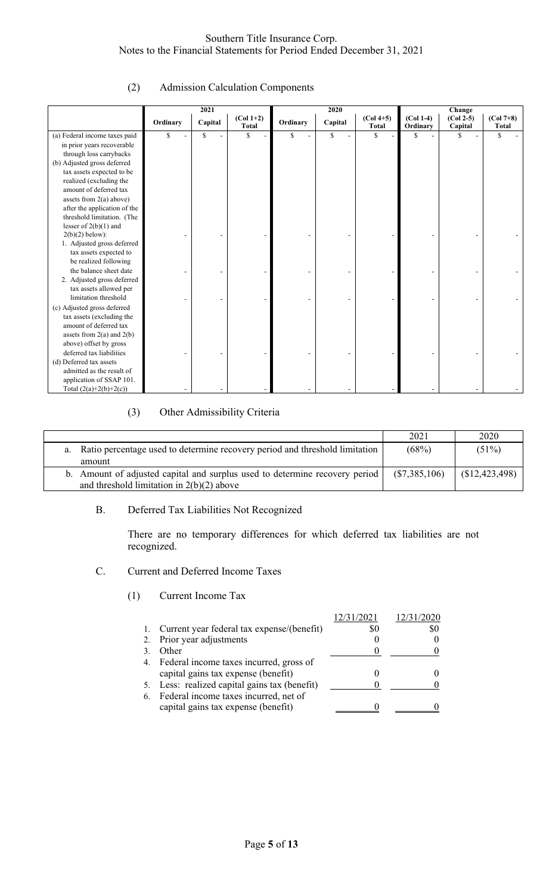# (2) Admission Calculation Components

|                               |          | 2021    |             | 2020     |         |              | Change      |             |              |  |
|-------------------------------|----------|---------|-------------|----------|---------|--------------|-------------|-------------|--------------|--|
|                               | Ordinary | Capital | $(Col 1+2)$ | Ordinary | Capital | $(Col 4+5)$  | $(Col 1-4)$ | $(Col 2-5)$ | $(Col 7+8)$  |  |
|                               |          |         | Total       |          |         | <b>Total</b> | Ordinary    | Capital     | <b>Total</b> |  |
| (a) Federal income taxes paid | \$       | S.      | $\mathbf S$ | S        | \$.     | S            | \$          | \$          | \$           |  |
| in prior years recoverable    |          |         |             |          |         |              |             |             |              |  |
| through loss carrybacks       |          |         |             |          |         |              |             |             |              |  |
| (b) Adjusted gross deferred   |          |         |             |          |         |              |             |             |              |  |
| tax assets expected to be     |          |         |             |          |         |              |             |             |              |  |
| realized (excluding the       |          |         |             |          |         |              |             |             |              |  |
| amount of deferred tax        |          |         |             |          |         |              |             |             |              |  |
| assets from $2(a)$ above)     |          |         |             |          |         |              |             |             |              |  |
| after the application of the  |          |         |             |          |         |              |             |             |              |  |
| threshold limitation. (The    |          |         |             |          |         |              |             |             |              |  |
| lesser of $2(b)(1)$ and       |          |         |             |          |         |              |             |             |              |  |
| $2(b)(2)$ below):             |          |         |             |          |         |              |             |             |              |  |
| 1. Adjusted gross deferred    |          |         |             |          |         |              |             |             |              |  |
| tax assets expected to        |          |         |             |          |         |              |             |             |              |  |
| be realized following         |          |         |             |          |         |              |             |             |              |  |
| the balance sheet date        |          |         |             |          |         |              |             |             |              |  |
| 2. Adjusted gross deferred    |          |         |             |          |         |              |             |             |              |  |
| tax assets allowed per        |          |         |             |          |         |              |             |             |              |  |
| limitation threshold          |          |         |             |          |         |              |             |             |              |  |
| (c) Adjusted gross deferred   |          |         |             |          |         |              |             |             |              |  |
| tax assets (excluding the     |          |         |             |          |         |              |             |             |              |  |
| amount of deferred tax        |          |         |             |          |         |              |             |             |              |  |
| assets from $2(a)$ and $2(b)$ |          |         |             |          |         |              |             |             |              |  |
| above) offset by gross        |          |         |             |          |         |              |             |             |              |  |
| deferred tax liabilities      |          |         |             |          |         |              |             |             |              |  |
| (d) Deferred tax assets       |          |         |             |          |         |              |             |             |              |  |
| admitted as the result of     |          |         |             |          |         |              |             |             |              |  |
| application of SSAP 101.      |          |         |             |          |         |              |             |             |              |  |
| Total $(2(a)+2(b)+2(c))$      |          |         |             |          |         |              |             |             |              |  |

# (3) Other Admissibility Criteria

|                                                                                | 2021            | 2020           |
|--------------------------------------------------------------------------------|-----------------|----------------|
| a. Ratio percentage used to determine recovery period and threshold limitation | (68%)           | (51%)          |
| amount                                                                         |                 |                |
| b. Amount of adjusted capital and surplus used to determine recovery period    | $(\$7,385,106)$ | (\$12,423,498) |
| and threshold limitation in $2(b)(2)$ above                                    |                 |                |

# B. Deferred Tax Liabilities Not Recognized

There are no temporary differences for which deferred tax liabilities are not recognized.

## C. Current and Deferred Income Taxes

#### (1) Current Income Tax

|                                                                                   |     | 12/31/2020 |
|-----------------------------------------------------------------------------------|-----|------------|
| 1. Current year federal tax expense/(benefit)                                     | \$0 | S0         |
| 2. Prior year adjustments                                                         |     |            |
| Other                                                                             |     |            |
| 4. Federal income taxes incurred, gross of<br>capital gains tax expense (benefit) |     |            |
| 5. Less: realized capital gains tax (benefit)                                     |     |            |
| 6. Federal income taxes incurred, net of                                          |     |            |
| capital gains tax expense (benefit)                                               |     |            |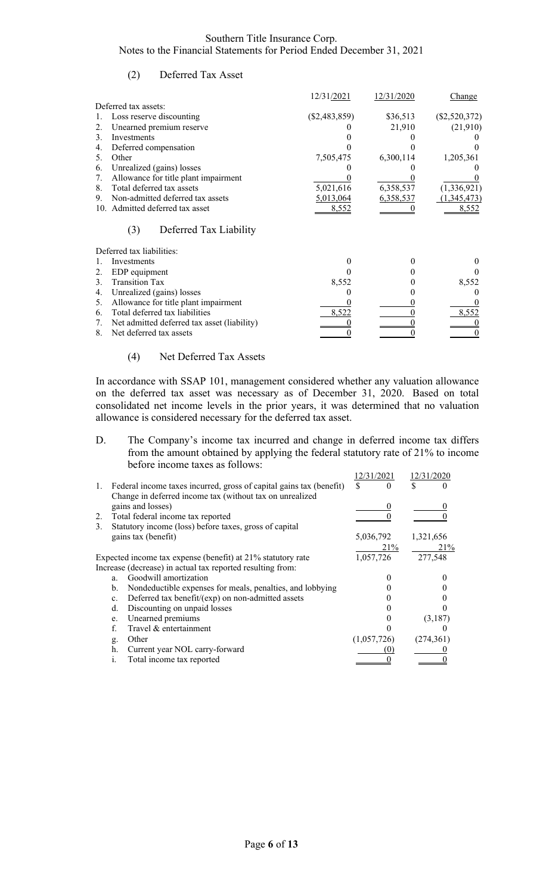## (2) Deferred Tax Asset

|                                                   | 12/31/2021      | 12/31/2020 | <b>Change</b>   |
|---------------------------------------------------|-----------------|------------|-----------------|
| Deferred tax assets:                              |                 |            |                 |
| Loss reserve discounting                          | $(\$2,483,859)$ | \$36,513   | $(\$2,520,372)$ |
| Unearned premium reserve<br>2.                    |                 | 21,910     | (21,910)        |
| Investments<br>3.                                 |                 |            |                 |
| Deferred compensation<br>4.                       |                 |            |                 |
| 5.<br>Other                                       | 7,505,475       | 6,300,114  | 1,205,361       |
| Unrealized (gains) losses<br>6.                   |                 |            |                 |
| Allowance for title plant impairment<br>7.        |                 |            |                 |
| Total deferred tax assets<br>8.                   | 5,021,616       | 6,358,537  | (1, 336, 921)   |
| Non-admitted deferred tax assets<br>9.            | 5,013,064       | 6,358,537  | (1,345,473)     |
| 10. Admitted deferred tax asset                   | 8,552           |            | 8,552           |
| (3)<br>Deferred Tax Liability                     |                 |            |                 |
| Deferred tax liabilities:                         |                 |            |                 |
| Investments                                       |                 |            |                 |
| 2.<br>EDP equipment                               |                 |            |                 |
| <b>Transition Tax</b><br>$\mathcal{E}$            | 8,552           |            | 8,552           |
| Unrealized (gains) losses<br>4.                   |                 |            |                 |
| Allowance for title plant impairment<br>5.        |                 |            |                 |
| Total deferred tax liabilities<br>6.              | 8,522           |            | 8,552           |
| Net admitted deferred tax asset (liability)<br>7. |                 |            |                 |
| Net deferred tax assets<br>8.                     |                 |            |                 |

## (4) Net Deferred Tax Assets

In accordance with SSAP 101, management considered whether any valuation allowance on the deferred tax asset was necessary as of December 31, 2020. Based on total consolidated net income levels in the prior years, it was determined that no valuation allowance is considered necessary for the deferred tax asset.

D. The Company's income tax incurred and change in deferred income tax differs from the amount obtained by applying the federal statutory rate of 21% to income before income taxes as follows:

|    |                                                                     | 12/31/2021  | 12/31/2020 |
|----|---------------------------------------------------------------------|-------------|------------|
| 1. | Federal income taxes incurred, gross of capital gains tax (benefit) | \$          | S          |
|    | Change in deferred income tax (without tax on unrealized            |             |            |
|    | gains and losses)                                                   |             |            |
| 2. | Total federal income tax reported                                   |             |            |
| 3. | Statutory income (loss) before taxes, gross of capital              |             |            |
|    | gains tax (benefit)                                                 | 5,036,792   | 1,321,656  |
|    |                                                                     | 21%         | 21%        |
|    | Expected income tax expense (benefit) at 21% statutory rate         | 1,057,726   | 277,548    |
|    | Increase (decrease) in actual tax reported resulting from:          |             |            |
|    | Goodwill amortization<br>$a_{\cdot}$                                |             |            |
|    | Nondeductible expenses for meals, penalties, and lobbying<br>b.     |             |            |
|    | Deferred tax benefit/(exp) on non-admitted assets<br>$c_{\cdot}$    |             |            |
|    | Discounting on unpaid losses<br>d.                                  |             |            |
|    | Unearned premiums<br>e.                                             |             | (3,187)    |
|    | Travel & entertainment                                              |             |            |
|    | Other<br>g.                                                         | (1,057,726) | (274,361)  |
|    | Current year NOL carry-forward<br>h.                                |             |            |
|    | Total income tax reported<br>1.                                     |             |            |
|    |                                                                     |             |            |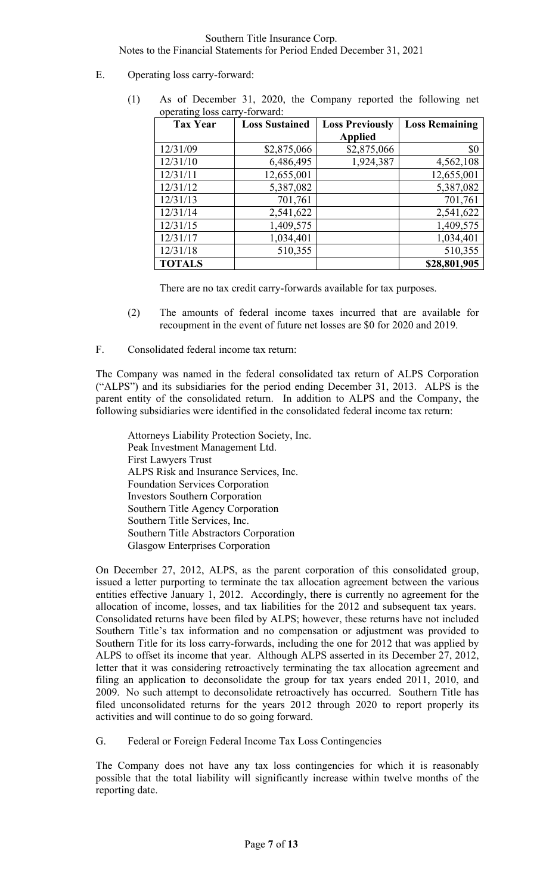- E. Operating loss carry-forward:
	- (1) As of December 31, 2020, the Company reported the following net operating loss carry-forward:

| <b>Tax Year</b> | <b>Loss Sustained</b> | <b>Loss Previously</b> | <b>Loss Remaining</b> |
|-----------------|-----------------------|------------------------|-----------------------|
|                 |                       | <b>Applied</b>         |                       |
| 12/31/09        | \$2,875,066           | \$2,875,066            | \$0                   |
| 12/31/10        | 6,486,495             | 1,924,387              | 4,562,108             |
| 12/31/11        | 12,655,001            |                        | 12,655,001            |
| 12/31/12        | 5,387,082             |                        | 5,387,082             |
| 12/31/13        | 701,761               |                        | 701,761               |
| 12/31/14        | 2,541,622             |                        | 2,541,622             |
| 12/31/15        | 1,409,575             |                        | 1,409,575             |
| 12/31/17        | 1,034,401             |                        | 1,034,401             |
| 12/31/18        | 510,355               |                        | 510,355               |
| <b>TOTALS</b>   |                       |                        | \$28,801,905          |

There are no tax credit carry-forwards available for tax purposes.

(2) The amounts of federal income taxes incurred that are available for recoupment in the event of future net losses are \$0 for 2020 and 2019.

F. Consolidated federal income tax return:

The Company was named in the federal consolidated tax return of ALPS Corporation ("ALPS") and its subsidiaries for the period ending December 31, 2013. ALPS is the parent entity of the consolidated return. In addition to ALPS and the Company, the following subsidiaries were identified in the consolidated federal income tax return:

Attorneys Liability Protection Society, Inc. Peak Investment Management Ltd. First Lawyers Trust ALPS Risk and Insurance Services, Inc. Foundation Services Corporation Investors Southern Corporation Southern Title Agency Corporation Southern Title Services, Inc. Southern Title Abstractors Corporation Glasgow Enterprises Corporation

On December 27, 2012, ALPS, as the parent corporation of this consolidated group, issued a letter purporting to terminate the tax allocation agreement between the various entities effective January 1, 2012. Accordingly, there is currently no agreement for the allocation of income, losses, and tax liabilities for the 2012 and subsequent tax years. Consolidated returns have been filed by ALPS; however, these returns have not included Southern Title's tax information and no compensation or adjustment was provided to Southern Title for its loss carry-forwards, including the one for 2012 that was applied by ALPS to offset its income that year. Although ALPS asserted in its December 27, 2012, letter that it was considering retroactively terminating the tax allocation agreement and filing an application to deconsolidate the group for tax years ended 2011, 2010, and 2009. No such attempt to deconsolidate retroactively has occurred. Southern Title has filed unconsolidated returns for the years 2012 through 2020 to report properly its activities and will continue to do so going forward.

G. Federal or Foreign Federal Income Tax Loss Contingencies

The Company does not have any tax loss contingencies for which it is reasonably possible that the total liability will significantly increase within twelve months of the reporting date.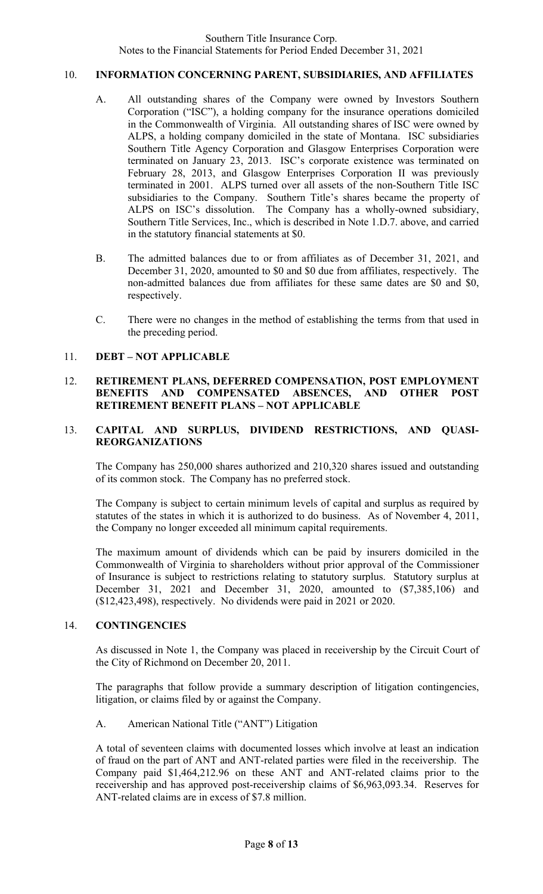## 10. **INFORMATION CONCERNING PARENT, SUBSIDIARIES, AND AFFILIATES**

- A. All outstanding shares of the Company were owned by Investors Southern Corporation ("ISC"), a holding company for the insurance operations domiciled in the Commonwealth of Virginia. All outstanding shares of ISC were owned by ALPS, a holding company domiciled in the state of Montana. ISC subsidiaries Southern Title Agency Corporation and Glasgow Enterprises Corporation were terminated on January 23, 2013. ISC's corporate existence was terminated on February 28, 2013, and Glasgow Enterprises Corporation II was previously terminated in 2001. ALPS turned over all assets of the non-Southern Title ISC subsidiaries to the Company. Southern Title's shares became the property of ALPS on ISC's dissolution. The Company has a wholly-owned subsidiary, Southern Title Services, Inc., which is described in Note 1.D.7. above, and carried in the statutory financial statements at \$0.
- B. The admitted balances due to or from affiliates as of December 31, 2021, and December 31, 2020, amounted to \$0 and \$0 due from affiliates, respectively. The non-admitted balances due from affiliates for these same dates are \$0 and \$0, respectively.
- C. There were no changes in the method of establishing the terms from that used in the preceding period.

## 11. **DEBT – NOT APPLICABLE**

## 12. **RETIREMENT PLANS, DEFERRED COMPENSATION, POST EMPLOYMENT BENEFITS AND COMPENSATED ABSENCES, AND OTHER POST RETIREMENT BENEFIT PLANS – NOT APPLICABLE**

## 13. **CAPITAL AND SURPLUS, DIVIDEND RESTRICTIONS, AND QUASI-REORGANIZATIONS**

The Company has 250,000 shares authorized and 210,320 shares issued and outstanding of its common stock. The Company has no preferred stock.

The Company is subject to certain minimum levels of capital and surplus as required by statutes of the states in which it is authorized to do business. As of November 4, 2011, the Company no longer exceeded all minimum capital requirements.

The maximum amount of dividends which can be paid by insurers domiciled in the Commonwealth of Virginia to shareholders without prior approval of the Commissioner of Insurance is subject to restrictions relating to statutory surplus. Statutory surplus at December 31, 2021 and December 31, 2020, amounted to (\$7,385,106) and (\$12,423,498), respectively. No dividends were paid in 2021 or 2020.

## 14. **CONTINGENCIES**

As discussed in Note 1, the Company was placed in receivership by the Circuit Court of the City of Richmond on December 20, 2011.

The paragraphs that follow provide a summary description of litigation contingencies, litigation, or claims filed by or against the Company.

## A. American National Title ("ANT") Litigation

A total of seventeen claims with documented losses which involve at least an indication of fraud on the part of ANT and ANT-related parties were filed in the receivership. The Company paid \$1,464,212.96 on these ANT and ANT-related claims prior to the receivership and has approved post-receivership claims of \$6,963,093.34. Reserves for ANT-related claims are in excess of \$7.8 million.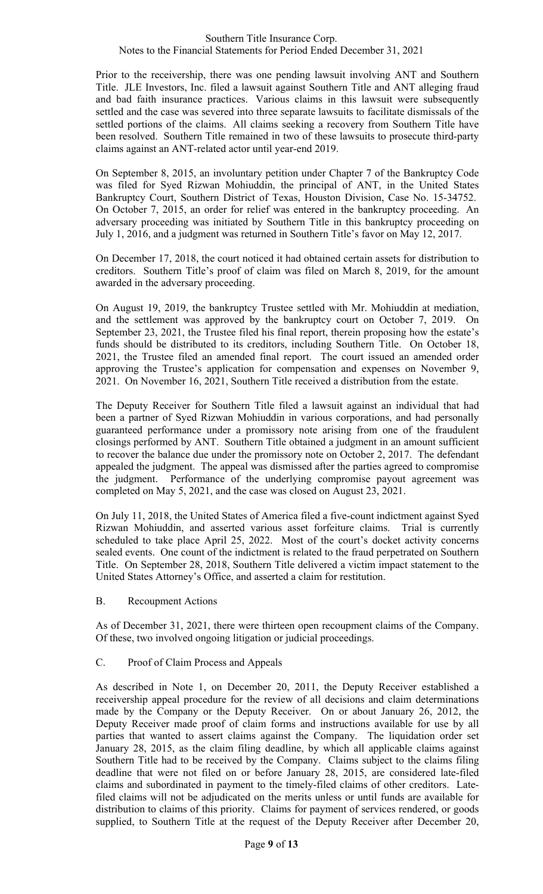Prior to the receivership, there was one pending lawsuit involving ANT and Southern Title. JLE Investors, Inc. filed a lawsuit against Southern Title and ANT alleging fraud and bad faith insurance practices. Various claims in this lawsuit were subsequently settled and the case was severed into three separate lawsuits to facilitate dismissals of the settled portions of the claims. All claims seeking a recovery from Southern Title have been resolved. Southern Title remained in two of these lawsuits to prosecute third-party claims against an ANT-related actor until year-end 2019.

On September 8, 2015, an involuntary petition under Chapter 7 of the Bankruptcy Code was filed for Syed Rizwan Mohiuddin, the principal of ANT, in the United States Bankruptcy Court, Southern District of Texas, Houston Division, Case No. 15-34752. On October 7, 2015, an order for relief was entered in the bankruptcy proceeding. An adversary proceeding was initiated by Southern Title in this bankruptcy proceeding on July 1, 2016, and a judgment was returned in Southern Title's favor on May 12, 2017.

On December 17, 2018, the court noticed it had obtained certain assets for distribution to creditors. Southern Title's proof of claim was filed on March 8, 2019, for the amount awarded in the adversary proceeding.

On August 19, 2019, the bankruptcy Trustee settled with Mr. Mohiuddin at mediation, and the settlement was approved by the bankruptcy court on October 7, 2019. On September 23, 2021, the Trustee filed his final report, therein proposing how the estate's funds should be distributed to its creditors, including Southern Title. On October 18, 2021, the Trustee filed an amended final report. The court issued an amended order approving the Trustee's application for compensation and expenses on November 9, 2021. On November 16, 2021, Southern Title received a distribution from the estate.

The Deputy Receiver for Southern Title filed a lawsuit against an individual that had been a partner of Syed Rizwan Mohiuddin in various corporations, and had personally guaranteed performance under a promissory note arising from one of the fraudulent closings performed by ANT. Southern Title obtained a judgment in an amount sufficient to recover the balance due under the promissory note on October 2, 2017. The defendant appealed the judgment. The appeal was dismissed after the parties agreed to compromise the judgment. Performance of the underlying compromise payout agreement was completed on May 5, 2021, and the case was closed on August 23, 2021.

On July 11, 2018, the United States of America filed a five-count indictment against Syed Rizwan Mohiuddin, and asserted various asset forfeiture claims. Trial is currently scheduled to take place April 25, 2022. Most of the court's docket activity concerns sealed events. One count of the indictment is related to the fraud perpetrated on Southern Title. On September 28, 2018, Southern Title delivered a victim impact statement to the United States Attorney's Office, and asserted a claim for restitution.

B. Recoupment Actions

As of December 31, 2021, there were thirteen open recoupment claims of the Company. Of these, two involved ongoing litigation or judicial proceedings.

## C. Proof of Claim Process and Appeals

As described in Note 1, on December 20, 2011, the Deputy Receiver established a receivership appeal procedure for the review of all decisions and claim determinations made by the Company or the Deputy Receiver. On or about January 26, 2012, the Deputy Receiver made proof of claim forms and instructions available for use by all parties that wanted to assert claims against the Company. The liquidation order set January 28, 2015, as the claim filing deadline, by which all applicable claims against Southern Title had to be received by the Company. Claims subject to the claims filing deadline that were not filed on or before January 28, 2015, are considered late-filed claims and subordinated in payment to the timely-filed claims of other creditors. Latefiled claims will not be adjudicated on the merits unless or until funds are available for distribution to claims of this priority. Claims for payment of services rendered, or goods supplied, to Southern Title at the request of the Deputy Receiver after December 20,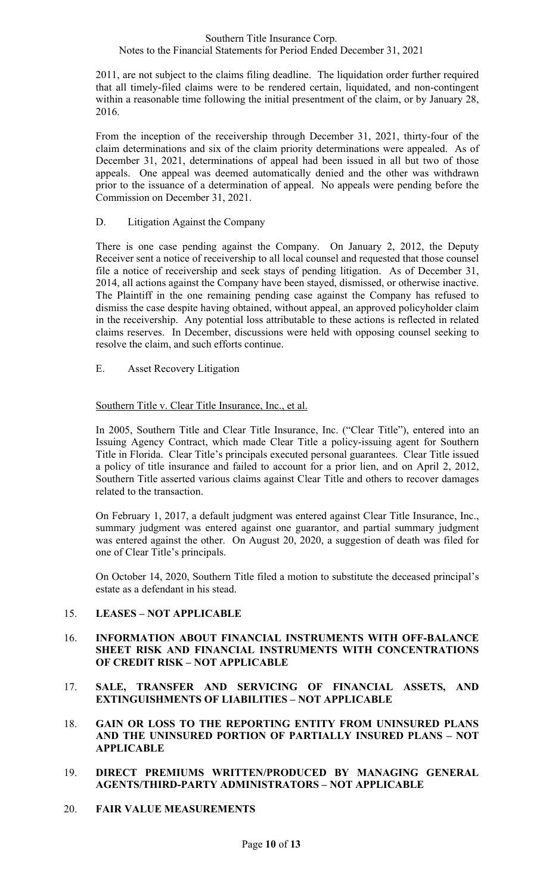2011, are not subject to the claims filing deadline. The liquidation order further required that all timely-filed claims were to be rendered certain, liquidated, and non-contingent within a reasonable time following the initial presentment of the claim, or by January 28, 2016.

From the inception of the receivership through December 31, 2021, thirty-four of the claim determinations and six of the claim priority determinations were appealed. As of December 31, 2021, determinations of appeal had been issued in all but two of those appeals. One appeal was deemed automatically denied and the other was withdrawn prior to the issuance of a determination of appeal. No appeals were pending before the Commission on December 31, 2021.

## D. Litigation Against the Company

There is one case pending against the Company. On January 2, 2012, the Deputy Receiver sent a notice of receivership to all local counsel and requested that those counsel file a notice of receivership and seek stays of pending litigation. As of December 31, 2014, all actions against the Company have been stayed, dismissed, or otherwise inactive. The Plaintiff in the one remaining pending case against the Company has refused to dismiss the case despite having obtained, without appeal, an approved policyholder claim in the receivership. Any potential loss attributable to these actions is reflected in related claims reserves. In December, discussions were held with opposing counsel seeking to resolve the claim, and such efforts continue.

E. Asset Recovery Litigation

## Southern Title v. Clear Title Insurance, Inc., et al.

In 2005, Southern Title and Clear Title Insurance, Inc. ("Clear Title"), entered into an Issuing Agency Contract, which made Clear Title a policy-issuing agent for Southern Title in Florida. Clear Title's principals executed personal guarantees. Clear Title issued a policy of title insurance and failed to account for a prior lien, and on April 2, 2012, Southern Title asserted various claims against Clear Title and others to recover damages related to the transaction.

On February 1, 2017, a default judgment was entered against Clear Title Insurance, Inc., summary judgment was entered against one guarantor, and partial summary judgment was entered against the other. On August 20, 2020, a suggestion of death was filed for one of Clear Title's principals.

On October 14, 2020, Southern Title filed a motion to substitute the deceased principal's estate as a defendant in his stead.

## 15. **LEASES – NOT APPLICABLE**

## 16. **INFORMATION ABOUT FINANCIAL INSTRUMENTS WITH OFF-BALANCE SHEET RISK AND FINANCIAL INSTRUMENTS WITH CONCENTRATIONS OF CREDIT RISK – NOT APPLICABLE**

- 17. **SALE, TRANSFER AND SERVICING OF FINANCIAL ASSETS, AND EXTINGUISHMENTS OF LIABILITIES – NOT APPLICABLE**
- 18. **GAIN OR LOSS TO THE REPORTING ENTITY FROM UNINSURED PLANS AND THE UNINSURED PORTION OF PARTIALLY INSURED PLANS – NOT APPLICABLE**
- 19. **DIRECT PREMIUMS WRITTEN/PRODUCED BY MANAGING GENERAL AGENTS/THIRD-PARTY ADMINISTRATORS – NOT APPLICABLE**
- 20. **FAIR VALUE MEASUREMENTS**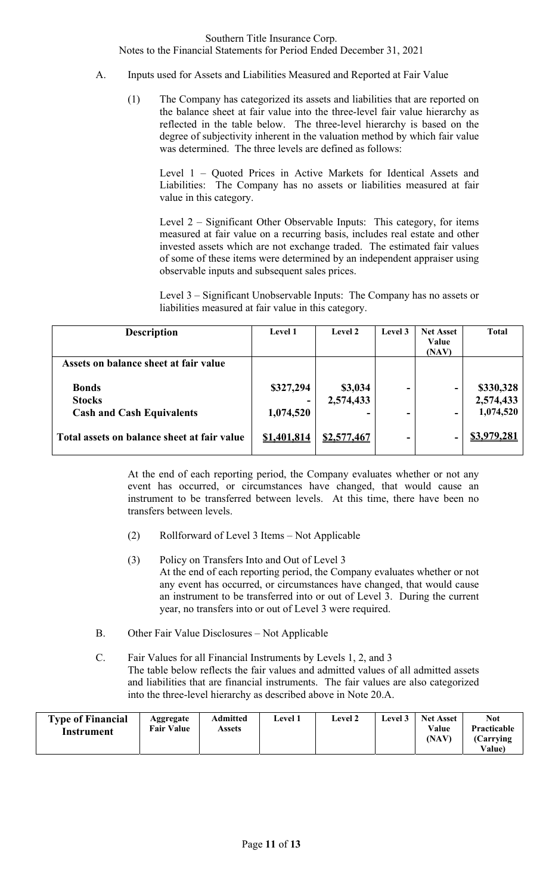- A. Inputs used for Assets and Liabilities Measured and Reported at Fair Value
	- (1) The Company has categorized its assets and liabilities that are reported on the balance sheet at fair value into the three-level fair value hierarchy as reflected in the table below. The three-level hierarchy is based on the degree of subjectivity inherent in the valuation method by which fair value was determined. The three levels are defined as follows:

 Level 1 – Quoted Prices in Active Markets for Identical Assets and Liabilities: The Company has no assets or liabilities measured at fair value in this category.

 Level 2 – Significant Other Observable Inputs: This category, for items measured at fair value on a recurring basis, includes real estate and other invested assets which are not exchange traded. The estimated fair values of some of these items were determined by an independent appraiser using observable inputs and subsequent sales prices.

 Level 3 – Significant Unobservable Inputs: The Company has no assets or liabilities measured at fair value in this category.

| <b>Description</b>                          | <b>Level 1</b> | <b>Level 2</b> | Level 3 | <b>Net Asset</b><br>Value<br>(NAV) | <b>Total</b>       |
|---------------------------------------------|----------------|----------------|---------|------------------------------------|--------------------|
| Assets on balance sheet at fair value       |                |                |         |                                    |                    |
| <b>Bonds</b>                                | \$327,294      | \$3,034        |         |                                    | \$330,328          |
| <b>Stocks</b>                               |                | 2,574,433      |         |                                    | 2,574,433          |
| <b>Cash and Cash Equivalents</b>            | 1,074,520      |                | ۰       | -                                  | 1,074,520          |
| Total assets on balance sheet at fair value | \$1,401,814    | \$2,577,467    | ۰       |                                    | <u>\$3,979,281</u> |

At the end of each reporting period, the Company evaluates whether or not any event has occurred, or circumstances have changed, that would cause an instrument to be transferred between levels. At this time, there have been no transfers between levels.

- (2) Rollforward of Level 3 Items Not Applicable
- (3) Policy on Transfers Into and Out of Level 3 At the end of each reporting period, the Company evaluates whether or not any event has occurred, or circumstances have changed, that would cause an instrument to be transferred into or out of Level 3. During the current year, no transfers into or out of Level 3 were required.
- B. Other Fair Value Disclosures Not Applicable
- C. Fair Values for all Financial Instruments by Levels 1, 2, and 3 The table below reflects the fair values and admitted values of all admitted assets and liabilities that are financial instruments. The fair values are also categorized into the three-level hierarchy as described above in Note 20.A.

| <b>Type of Financial</b><br>Aggregate<br><b>Fair Value</b><br>Instrument | Admitted<br>Assets | Level 1 | <b>Level 2</b> | $\scriptstyle\pm$ evel 3 | <b>Net Asset</b><br>Value<br>(NAV) | <b>Not</b><br><b>Practicable</b><br>(Carrving)<br><b>Value</b> ) |
|--------------------------------------------------------------------------|--------------------|---------|----------------|--------------------------|------------------------------------|------------------------------------------------------------------|
|--------------------------------------------------------------------------|--------------------|---------|----------------|--------------------------|------------------------------------|------------------------------------------------------------------|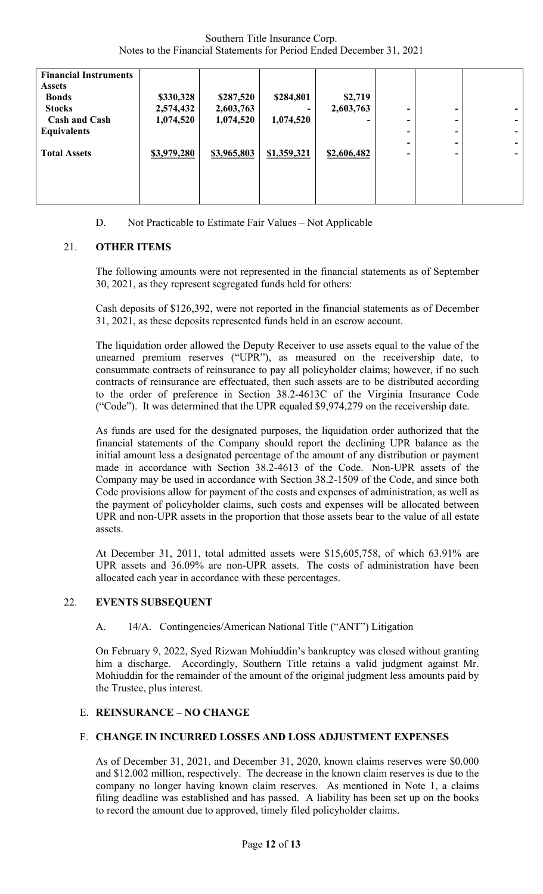| <b>Financial Instruments</b><br><b>Assets</b><br><b>Bonds</b><br><b>Stocks</b><br><b>Cash and Cash</b> | \$330,328<br>2,574,432<br>1,074,520 | \$287,520<br>2,603,763<br>1,074,520 | \$284,801<br>-<br>1,074,520 | \$2,719<br>2,603,763 | ۰<br>- | -<br>- | ۰<br>۰. |
|--------------------------------------------------------------------------------------------------------|-------------------------------------|-------------------------------------|-----------------------------|----------------------|--------|--------|---------|
| <b>Equivalents</b>                                                                                     |                                     |                                     |                             |                      | -      | ۰.     | ۰.      |
|                                                                                                        |                                     |                                     |                             |                      | -      | -      | ۰.      |
| <b>Total Assets</b>                                                                                    | \$3,979,280                         | \$3,965,803                         | \$1,359,321                 | \$2,606,482          | -      | -      | ۰.      |
|                                                                                                        |                                     |                                     |                             |                      |        |        |         |

D. Not Practicable to Estimate Fair Values – Not Applicable

## 21. **OTHER ITEMS**

The following amounts were not represented in the financial statements as of September 30, 2021, as they represent segregated funds held for others:

Cash deposits of \$126,392, were not reported in the financial statements as of December 31, 2021, as these deposits represented funds held in an escrow account.

The liquidation order allowed the Deputy Receiver to use assets equal to the value of the unearned premium reserves ("UPR"), as measured on the receivership date, to consummate contracts of reinsurance to pay all policyholder claims; however, if no such contracts of reinsurance are effectuated, then such assets are to be distributed according to the order of preference in Section 38.2-4613C of the Virginia Insurance Code ("Code"). It was determined that the UPR equaled \$9,974,279 on the receivership date.

As funds are used for the designated purposes, the liquidation order authorized that the financial statements of the Company should report the declining UPR balance as the initial amount less a designated percentage of the amount of any distribution or payment made in accordance with Section 38.2-4613 of the Code. Non-UPR assets of the Company may be used in accordance with Section 38.2-1509 of the Code, and since both Code provisions allow for payment of the costs and expenses of administration, as well as the payment of policyholder claims, such costs and expenses will be allocated between UPR and non-UPR assets in the proportion that those assets bear to the value of all estate assets.

At December 31, 2011, total admitted assets were \$15,605,758, of which 63.91% are UPR assets and 36.09% are non-UPR assets. The costs of administration have been allocated each year in accordance with these percentages.

## 22. **EVENTS SUBSEQUENT**

## A. 14/A. Contingencies/American National Title ("ANT") Litigation

On February 9, 2022, Syed Rizwan Mohiuddin's bankruptcy was closed without granting him a discharge. Accordingly, Southern Title retains a valid judgment against Mr. Mohiuddin for the remainder of the amount of the original judgment less amounts paid by the Trustee, plus interest.

## E. **REINSURANCE – NO CHANGE**

## F. **CHANGE IN INCURRED LOSSES AND LOSS ADJUSTMENT EXPENSES**

As of December 31, 2021, and December 31, 2020, known claims reserves were \$0.000 and \$12.002 million, respectively. The decrease in the known claim reserves is due to the company no longer having known claim reserves. As mentioned in Note 1, a claims filing deadline was established and has passed. A liability has been set up on the books to record the amount due to approved, timely filed policyholder claims.